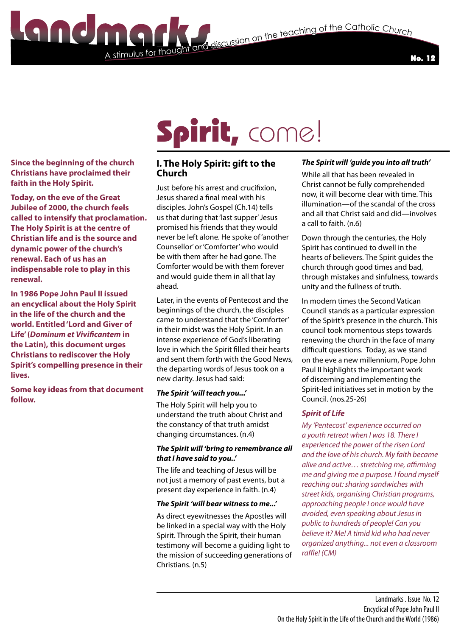

#### **Since the beginning of the church Christians have proclaimed their faith in the Holy Spirit.**

**Today, on the eve of the Great Jubilee of 2000, the church feels called to intensify that proclamation. The Holy Spirit is at the centre of Christian life and is the source and dynamic power of the church's renewal. Each of us has an indispensable role to play in this renewal.** 

**In 1986 Pope John Paul II issued an encyclical about the Holy Spirit in the life of the church and the world. Entitled 'Lord and Giver of Life' (***Dominum et Vivificantem* **in the Latin), this document urges Christians to rediscover the Holy Spirit's compelling presence in their lives.** 

**Some key ideas from that document follow.**

# Spirit, come!

# **I. The Holy Spirit: gift to the Church**

A stimulus for thought

Just before his arrest and crucifixion, Jesus shared a final meal with his disciples. John's Gospel (Ch.14) tells us that during that 'last supper' Jesus promised his friends that they would never be left alone. He spoke of 'another Counsellor' or 'Comforter' who would be with them after he had gone. The Comforter would be with them forever and would guide them in all that lay ahead.

Later, in the events of Pentecost and the beginnings of the church, the disciples came to understand that the 'Comforter' in their midst was the Holy Spirit. In an intense experience of God's liberating love in which the Spirit filled their hearts and sent them forth with the Good News, the departing words of Jesus took on a new clarity. Jesus had said:

#### *The Spirit 'will teach you...'*

The Holy Spirit will help you to understand the truth about Christ and the constancy of that truth amidst changing circumstances. (n.4)

#### *The Spirit will 'bring to remembrance all that I have said to you..'*

The life and teaching of Jesus will be not just a memory of past events, but a present day experience in faith. (n.4)

# *The Spirit 'will bear witness to me...'*

As direct eyewitnesses the Apostles will be linked in a special way with the Holy Spirit. Through the Spirit, their human testimony will become a guiding light to the mission of succeeding generations of Christians. (n.5)

# *The Spirit will 'guide you into all truth'*

While all that has been revealed in Christ cannot be fully comprehended now, it will become clear with time. This illumination—of the scandal of the cross and all that Christ said and did—involves a call to faith. (n.6)

Down through the centuries, the Holy Spirit has continued to dwell in the hearts of believers. The Spirit guides the church through good times and bad, through mistakes and sinfulness, towards unity and the fullness of truth.

In modern times the Second Vatican Council stands as a particular expression of the Spirit's presence in the church. This council took momentous steps towards renewing the church in the face of many difficult questions. Today, as we stand on the eve a new millennium, Pope John Paul II highlights the important work of discerning and implementing the Spirit-led initiatives set in motion by the Council. (nos.25-26)

# *Spirit of Life*

*My 'Pentecost' experience occurred on a youth retreat when I was 18. There I experienced the power of the risen Lord and the love of his church. My faith became alive and active… stretching me, affirming me and giving me a purpose. I found myself reaching out: sharing sandwiches with street kids, organising Christian programs, approaching people I once would have avoided, even speaking about Jesus in public to hundreds of people! Can you believe it? Me! A timid kid who had never organized anything... not even a classroom raffle! (CM)*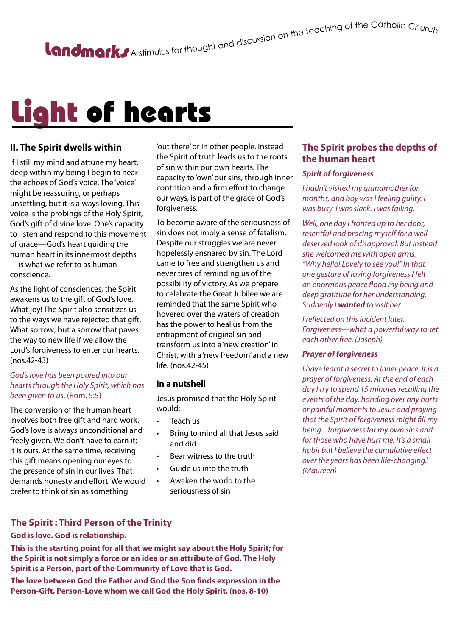# Light of hearts

## **II. The Spirit dwells within**

If I still my mind and attune my heart, deep within my being I begin to hear the echoes of God's voice. The 'voice' might be reassuring, or perhaps unsettling, but it is always loving. This voice is the probings of the Holy Spirit, God's gift of divine love. One's capacity to listen and respond to this movement of grace—God's heart guiding the human heart in its innermost depths —is what we refer to as human conscience.

As the light of consciences, the Spirit awakens us to the gift of God's love. What joy! The Spirit also sensitizes us to the ways we have rejected that gift. What sorrow; but a sorrow that paves the way to new life if we allow the Lord's forgiveness to enter our hearts. (nos.42-43)

#### *God's love has been poured into our hearts through the Holy Spirit, which has been given to us*. (Rom. 5:5)

The conversion of the human heart involves both free gift and hard work. God's love is always unconditional and freely given. We don't have to earn it; it is ours. At the same time, receiving this gift means opening our eyes to the presence of sin in our lives. That demands honesty and effort. We would prefer to think of sin as something

'out there' or in other people. Instead the Spirit of truth leads us to the roots of sin within our own hearts. The capacity to 'own' our sins, through inner contrition and a firm effort to change our ways, is part of the grace of God's forgiveness.

To become aware of the seriousness of sin does not imply a sense of fatalism. Despite our struggles we are never hopelessly ensnared by sin. The Lord came to free and strengthen us and never tires of reminding us of the possibility of victory. As we prepare to celebrate the Great Jubilee we are reminded that the same Spirit who hovered over the waters of creation has the power to heal us from the entrapment of original sin and transform us into a 'new creation' in Christ, with a 'new freedom' and a new life. (nos.42-45)

#### **In a nutshell**

Jesus promised that the Holy Spirit would:

- Teach us
- Bring to mind all that Jesus said and did
- Bear witness to the truth
- Guide us into the truth
- Awaken the world to the seriousness of sin

## **The Spirit probes the depths of the human heart**

#### *Spirit of forgiveness*

*I hadn't visited my grandmother for months, and boy was I feeling guilty. I was busy. I was slack. I was failing.* 

*Well, one day I fronted up to her door, resentful and bracing myself for a welldeserved look of disapproval. But instead she welcomed me with open arms. "Why hello! Lovely to see you!" In that one gesture of loving forgiveness I felt an enormous peace flood my being and deep gratitude for her understanding. Suddenly I wanted to visit her.* 

*I reflected on this incident later. Forgiveness—what a powerful way to set each other free. (Joseph)*

#### *Prayer of forgiveness*

*I have learnt a secret to inner peace. It is a prayer of forgiveness. At the end of each day I try to spend 15 minutes recalling the events of the day, handing over any hurts or painful moments to Jesus and praying that the Spirit of forgiveness might fill my being... forgiveness for my own sins and for those who have hurt me. It's a small habit but I believe the cumulative effect over the years has been life-changing.' (Maureen)*

#### **The Spirit : Third Person of the Trinity**

#### **God is love. God is relationship.**

**This is the starting point for all that we might say about the Holy Spirit; for the Spirit is not simply a force or an idea or an attribute of God. The Holy Spirit is a Person, part of the Community of Love that is God.**

**The love between God the Father and God the Son finds expression in the Person-Gift, Person-Love whom we call God the Holy Spirit. (nos. 8-10)**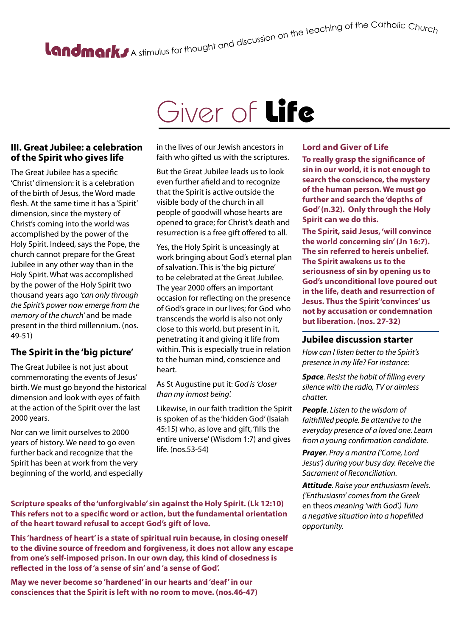# A stimulus for thought and discussion on the teaching of the Catholic Churc<sub>h</sub>

# Giver of Life

#### **III. Great Jubilee: a celebration of the Spirit who gives life**

The Great Jubilee has a specific 'Christ' dimension: it is a celebration of the birth of Jesus, the Word made flesh. At the same time it has a 'Spirit' dimension, since the mystery of Christ's coming into the world was accomplished by the power of the Holy Spirit. Indeed, says the Pope, the church cannot prepare for the Great Jubilee in any other way than in the Holy Spirit. What was accomplished by the power of the Holy Spirit two thousand years ago *'can only through the Spirit's power now emerge from the memory of the church'* and be made present in the third millennium. (nos. 49-51)

# **The Spirit in the 'big picture'**

The Great Jubilee is not just about commemorating the events of Jesus' birth. We must go beyond the historical dimension and look with eyes of faith at the action of the Spirit over the last 2000 years.

Nor can we limit ourselves to 2000 years of history. We need to go even further back and recognize that the Spirit has been at work from the very beginning of the world, and especially

in the lives of our Jewish ancestors in faith who gifted us with the scriptures.

But the Great Jubilee leads us to look even further afield and to recognize that the Spirit is active outside the visible body of the church in all people of goodwill whose hearts are opened to grace; for Christ's death and resurrection is a free gift offered to all.

Yes, the Holy Spirit is unceasingly at work bringing about God's eternal plan of salvation. This is 'the big picture' to be celebrated at the Great Jubilee. The year 2000 offers an important occasion for reflecting on the presence of God's grace in our lives; for God who transcends the world is also not only close to this world, but present in it, penetrating it and giving it life from within. This is especially true in relation to the human mind, conscience and heart.

As St Augustine put it: *God is 'closer than my inmost being'.*

Likewise, in our faith tradition the Spirit is spoken of as the 'hidden God' (Isaiah 45:15) who, as love and gift, 'fills the entire universe' (Wisdom 1:7) and gives life. (nos.53-54)

### **Lord and Giver of Life**

**To really grasp the significance of sin in our world, it is not enough to search the conscience, the mystery of the human person. We must go further and search the 'depths of God' (n.32). Only through the Holy Spirit can we do this.**

**The Spirit, said Jesus, 'will convince the world concerning sin' (Jn 16:7). The sin referred to hereis unbelief. The Spirit awakens us to the seriousness of sin by opening us to God's unconditional love poured out in the life, death and resurrection of Jesus. Thus the Spirit 'convinces' us not by accusation or condemnation but liberation. (nos. 27-32)**

#### **Jubilee discussion starter**

*How can I listen better to the Spirit's presence in my life? For instance:*

*Space. Resist the habit of filling every silence with the radio, TV or aimless chatter.* 

*People. Listen to the wisdom of faithfilled people. Be attentive to the everyday presence of a loved one. Learn from a young confirmation candidate.* 

*Prayer. Pray a mantra ('Come, Lord Jesus') during your busy day. Receive the Sacrament of Reconciliation.* 

*Attitude. Raise your enthusiasm levels. ('Enthusiasm' comes from the Greek*  en theos *meaning 'with God'.) Turn a negative situation into a hopefilled opportunity.*

**Scripture speaks of the 'unforgivable' sin against the Holy Spirit. (Lk 12:10) This refers not to a specific word or action, but the fundamental orientation of the heart toward refusal to accept God's gift of love.**

**This 'hardness of heart' is a state of spiritual ruin because, in closing oneself to the divine source of freedom and forgiveness, it does not allow any escape from one's self-imposed prison. In our own day, this kind of closedness is reflected in the loss of 'a sense of sin' and 'a sense of God'.**

**May we never become so 'hardened' in our hearts and 'deaf' in our consciences that the Spirit is left with no room to move. (nos.46-47)**